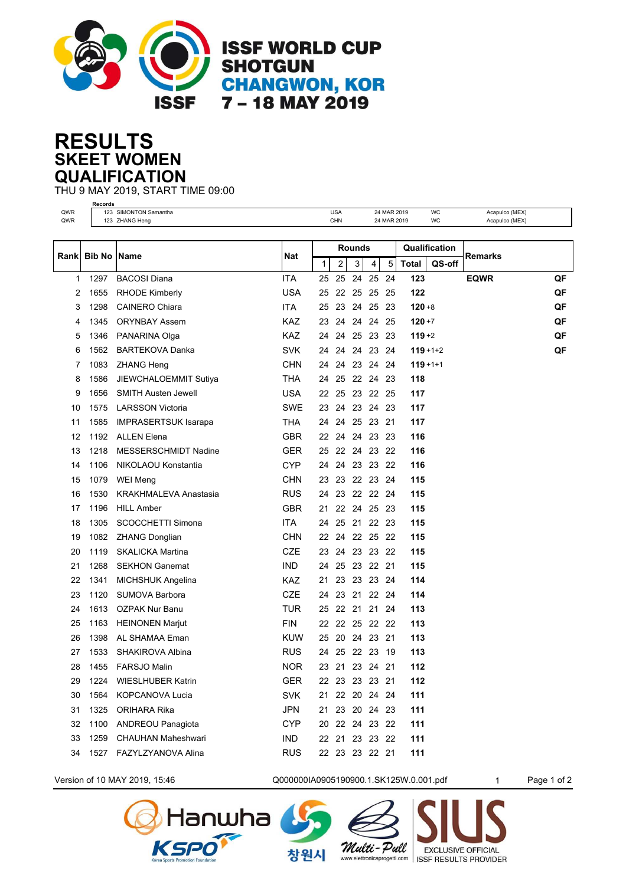

## **SKEET WOMEN RESULTS QUALIFICATION**

THU 9 MAY 2019, START TIME 09:00 **Records**

| QWR<br>QWR |               | 123 SIMONTON Samantha<br>123 ZHANG Heng |            |    | <b>USA</b><br><b>CHN</b> |       |             | 24 MAR 2019<br>24 MAR 2019 |               | WC<br>WC      | Acapulco (MEX)<br>Acapulco (MEX) |    |  |
|------------|---------------|-----------------------------------------|------------|----|--------------------------|-------|-------------|----------------------------|---------------|---------------|----------------------------------|----|--|
|            |               |                                         |            |    |                          |       |             |                            |               |               |                                  |    |  |
|            |               |                                         |            |    | Rounds                   |       |             |                            | Qualification |               |                                  |    |  |
| Rankl      | <b>Bib No</b> | <b>Name</b>                             | Nat        | 1  | 2                        | 3     | 4           | 5                          | <b>Total</b>  | QS-off        | <b>Remarks</b>                   |    |  |
| 1          | 1297          | <b>BACOSI Diana</b>                     | <b>ITA</b> | 25 | 25                       | 24    | 25          | 24                         | 123           |               | <b>EQWR</b>                      | QF |  |
| 2          | 1655          | <b>RHODE Kimberly</b>                   | <b>USA</b> | 25 | 22                       |       | 25 25 25    |                            | 122           |               |                                  | QF |  |
| 3          | 1298          | <b>CAINERO Chiara</b>                   | <b>ITA</b> | 25 | 23                       | 24    | 25          | -23                        | $120 + 8$     |               |                                  | QF |  |
| 4          | 1345          | <b>ORYNBAY Assem</b>                    | KAZ        | 23 | 24                       | 24    | 24          | -25                        | $120 + 7$     |               |                                  | QF |  |
| 5          | 1346          | PANARINA Olga                           | KAZ        | 24 | 24                       |       | 25 23 23    |                            | $119 + 2$     |               |                                  | QF |  |
| 6          | 1562          | <b>BARTEKOVA Danka</b>                  | <b>SVK</b> | 24 | 24                       | 24    | 23 24       |                            |               | $119 + 1 + 2$ |                                  | QF |  |
| 7          | 1083          | ZHANG Heng                              | <b>CHN</b> | 24 | 24                       |       | 23 24 24    |                            |               | $119 + 1 + 1$ |                                  |    |  |
| 8          | 1586          | JIEWCHALOEMMIT Sutiya                   | <b>THA</b> | 24 | 25                       |       | 22 24 23    |                            | 118           |               |                                  |    |  |
| 9          | 1656          | <b>SMITH Austen Jewell</b>              | <b>USA</b> | 22 | 25                       |       | 23 22 25    |                            | 117           |               |                                  |    |  |
| 10         | 1575          | <b>LARSSON Victoria</b>                 | <b>SWE</b> | 23 | 24                       |       | 23 24       | -23                        | 117           |               |                                  |    |  |
| 11         | 1585          | <b>IMPRASERTSUK Isarapa</b>             | <b>THA</b> | 24 | 24                       |       | 25 23       | -21                        | 117           |               |                                  |    |  |
| 12         | 1192          | <b>ALLEN Elena</b>                      | <b>GBR</b> | 22 | 24                       |       | 24 23 23    |                            | 116           |               |                                  |    |  |
| 13         | 1218          | MESSERSCHMIDT Nadine                    | <b>GER</b> | 25 | 22                       |       | 24 23 22    |                            | 116           |               |                                  |    |  |
| 14         | 1106          | NIKOLAOU Konstantia                     | <b>CYP</b> | 24 | 24                       |       | 23 23 22    |                            | 116           |               |                                  |    |  |
| 15         | 1079          | <b>WEI Meng</b>                         | <b>CHN</b> | 23 | 23                       |       | 22 23 24    |                            | 115           |               |                                  |    |  |
| 16         | 1530          | <b>KRAKHMALEVA Anastasia</b>            | <b>RUS</b> | 24 |                          |       | 23 22 22 24 |                            | 115           |               |                                  |    |  |
| 17         | 1196          | <b>HILL Amber</b>                       | <b>GBR</b> | 21 | 22                       |       | 24 25 23    |                            | 115           |               |                                  |    |  |
| 18         | 1305          | SCOCCHETTI Simona                       | <b>ITA</b> | 24 | 25                       |       | 21 22 23    |                            | 115           |               |                                  |    |  |
| 19         | 1082          | <b>ZHANG Donglian</b>                   | <b>CHN</b> |    | 22 24                    |       | 22 25 22    |                            | 115           |               |                                  |    |  |
| 20         | 1119          | <b>SKALICKA Martina</b>                 | <b>CZE</b> | 23 | 24                       |       | 23 23 22    |                            | 115           |               |                                  |    |  |
| 21         | 1268          | <b>SEKHON Ganemat</b>                   | <b>IND</b> | 24 | 25                       |       | 23 22 21    |                            | 115           |               |                                  |    |  |
| 22         | 1341          | <b>MICHSHUK Angelina</b>                | <b>KAZ</b> | 21 | 23                       |       | 23 23 24    |                            | 114           |               |                                  |    |  |
| 23         | 1120          | SUMOVA Barbora                          | <b>CZE</b> | 24 |                          |       | 23 21 22 24 |                            | 114           |               |                                  |    |  |
| 24         | 1613          | <b>OZPAK Nur Banu</b>                   | <b>TUR</b> | 25 |                          | 22 21 | 21          | -24                        | 113           |               |                                  |    |  |
| 25         | 1163          | <b>HEINONEN Marjut</b>                  | <b>FIN</b> |    | 22 22 25 22 22           |       |             |                            | 113           |               |                                  |    |  |
| 26         | 1398          | AL SHAMAA Eman                          | <b>KUW</b> | 25 |                          |       | 20 24 23 21 |                            | 113           |               |                                  |    |  |
| 27         | 1533          | SHAKIROVA Albina                        | <b>RUS</b> |    | 24 25 22 23              |       |             | -19                        | 113           |               |                                  |    |  |
| 28         | 1455          | FARSJO Malin                            | <b>NOR</b> |    | 23 21 23 24 21           |       |             |                            | 112           |               |                                  |    |  |
| 29         | 1224          | WIESLHUBER Katrin                       | <b>GER</b> |    | 22 23 23 23 21           |       |             |                            | 112           |               |                                  |    |  |
| 30         | 1564          | <b>KOPCANOVA Lucia</b>                  | <b>SVK</b> |    | 21 22 20 24 24           |       |             |                            | 111           |               |                                  |    |  |
| 31         | 1325          | ORIHARA Rika                            | <b>JPN</b> | 21 |                          |       | 23 20 24 23 |                            | 111           |               |                                  |    |  |
| 32         | 1100          | ANDREOU Panagiota                       | <b>CYP</b> |    | 20 22 24 23 22           |       |             |                            | 111           |               |                                  |    |  |
| 33         | 1259          | <b>CHAUHAN Maheshwari</b>               | <b>IND</b> |    | 22 21 23 23 22           |       |             |                            | 111           |               |                                  |    |  |
| 34         | 1527          | FAZYLZYANOVA Alina                      | <b>RUS</b> |    | 22 23 23 22 21           |       |             |                            | 111           |               |                                  |    |  |



**Hanwha** 

Version of 10 MAY 2019, 15:46 **Q000000IA0905190900.1.SK125W.0.001.pdf** 1 Page 1 of 2

Multi-Pull

창원시

**EXCLUSIVE OFFICIAL** 

www.elettronicaprogetti.com | ISSF RESULTS PROVIDER